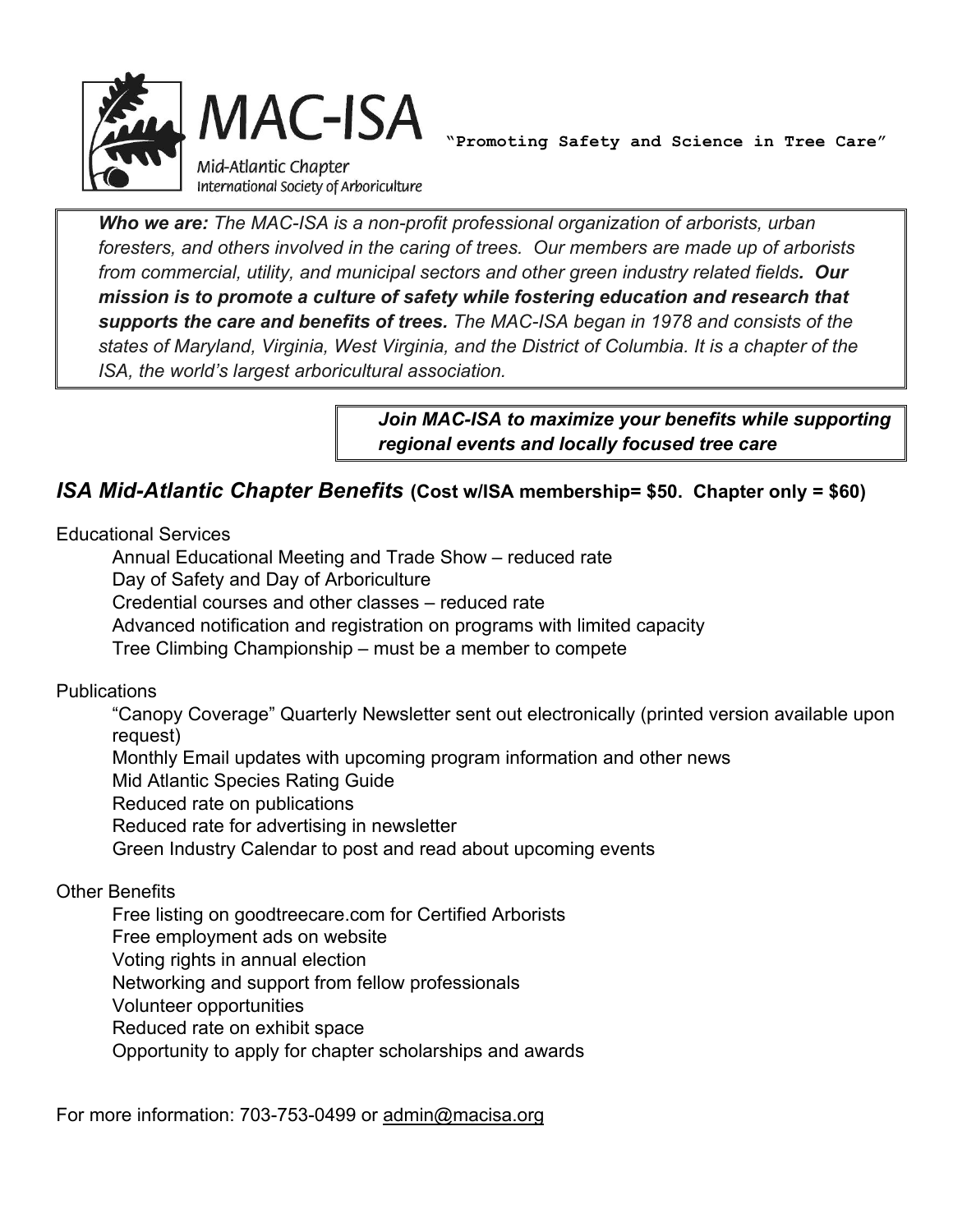

MAC-ISA Mid-Atlantic Chapter

**"Promoting Safety and Science in Tree Care"**

*Who we are: The MAC-ISA is a non-profit professional organization of arborists, urban foresters, and others involved in the caring of trees. Our members are made up of arborists from commercial, utility, and municipal sectors and other green industry related fields. Our mission is to promote a culture of safety while fostering education and research that supports the care and benefits of trees. The MAC-ISA began in 1978 and consists of the states of Maryland, Virginia, West Virginia, and the District of Columbia. It is a chapter of the ISA, the world's largest arboricultural association.*

> *Join MAC-ISA to maximize your benefits while supporting regional events and locally focused tree care*

## *ISA Mid-Atlantic Chapter Benefits* **(Cost w/ISA membership= \$50. Chapter only = \$60)**

Educational Services

 Annual Educational Meeting and Trade Show – reduced rate Day of Safety and Day of Arboriculture Credential courses and other classes – reduced rate Advanced notification and registration on programs with limited capacity Tree Climbing Championship – must be a member to compete

**Publications** 

 "Canopy Coverage" Quarterly Newsletter sent out electronically (printed version available upon request)

Monthly Email updates with upcoming program information and other news

Mid Atlantic Species Rating Guide

Reduced rate on publications

Reduced rate for advertising in newsletter

Green Industry Calendar to post and read about upcoming events

## Other Benefits

Free listing on goodtreecare.com for Certified Arborists

Free employment ads on website

Voting rights in annual election

Networking and support from fellow professionals

Volunteer opportunities

Reduced rate on exhibit space

Opportunity to apply for chapter scholarships and awards

For more information: 703-753-0499 or admin@macisa.org